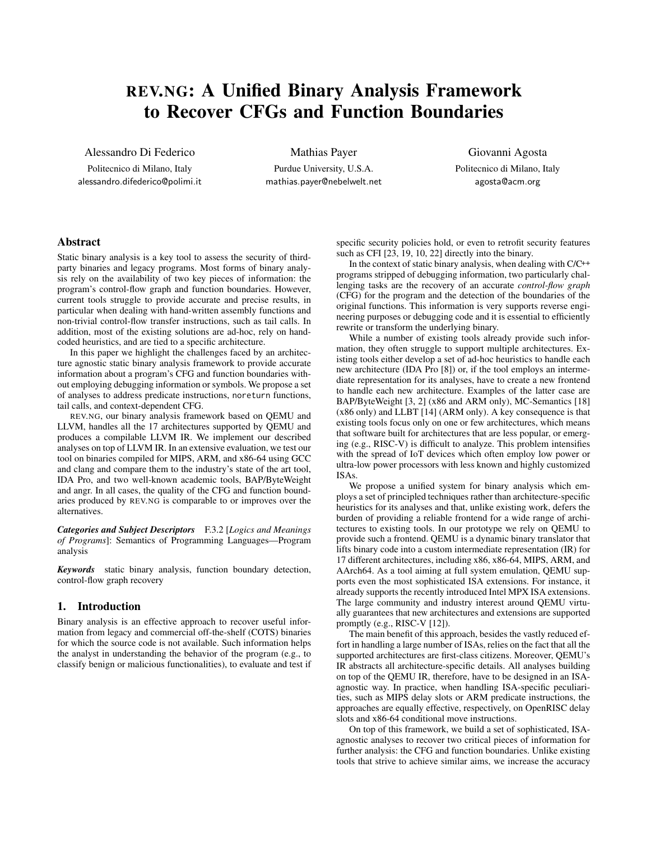# REV.NG: A Unified Binary Analysis Framework to Recover CFGs and Function Boundaries

Alessandro Di Federico

Politecnico di Milano, Italy alessandro.difederico@polimi.it

Mathias Payer Purdue University, U.S.A. mathias.payer@nebelwelt.net

Giovanni Agosta Politecnico di Milano, Italy agosta@acm.org

# Abstract

Static binary analysis is a key tool to assess the security of thirdparty binaries and legacy programs. Most forms of binary analysis rely on the availability of two key pieces of information: the program's control-flow graph and function boundaries. However, current tools struggle to provide accurate and precise results, in particular when dealing with hand-written assembly functions and non-trivial control-flow transfer instructions, such as tail calls. In addition, most of the existing solutions are ad-hoc, rely on handcoded heuristics, and are tied to a specific architecture.

In this paper we highlight the challenges faced by an architecture agnostic static binary analysis framework to provide accurate information about a program's CFG and function boundaries without employing debugging information or symbols. We propose a set of analyses to address predicate instructions, noreturn functions, tail calls, and context-dependent CFG.

REV.NG, our binary analysis framework based on QEMU and LLVM, handles all the 17 architectures supported by QEMU and produces a compilable LLVM IR. We implement our described analyses on top of LLVM IR. In an extensive evaluation, we test our tool on binaries compiled for MIPS, ARM, and x86-64 using GCC and clang and compare them to the industry's state of the art tool, IDA Pro, and two well-known academic tools, BAP/ByteWeight and angr. In all cases, the quality of the CFG and function boundaries produced by REV.NG is comparable to or improves over the alternatives.

*Categories and Subject Descriptors* F.3.2 [*Logics and Meanings of Programs*]: Semantics of Programming Languages—Program analysis

*Keywords* static binary analysis, function boundary detection, control-flow graph recovery

# 1. Introduction

Binary analysis is an effective approach to recover useful information from legacy and commercial off-the-shelf (COTS) binaries for which the source code is not available. Such information helps the analyst in understanding the behavior of the program (e.g., to classify benign or malicious functionalities), to evaluate and test if

specific security policies hold, or even to retrofit security features such as CFI [\[23,](#page-10-0) [19,](#page-10-1) [10,](#page-10-2) [22\]](#page-10-3) directly into the binary.

In the context of static binary analysis, when dealing with C/C++ programs stripped of debugging information, two particularly challenging tasks are the recovery of an accurate *control-flow graph* (CFG) for the program and the detection of the boundaries of the original functions. This information is very supports reverse engineering purposes or debugging code and it is essential to efficiently rewrite or transform the underlying binary.

While a number of existing tools already provide such information, they often struggle to support multiple architectures. Existing tools either develop a set of ad-hoc heuristics to handle each new architecture (IDA Pro [\[8\]](#page-10-4)) or, if the tool employs an intermediate representation for its analyses, have to create a new frontend to handle each new architecture. Examples of the latter case are BAP/ByteWeight [\[3,](#page-10-5) [2\]](#page-10-6) (x86 and ARM only), MC-Semantics [\[18\]](#page-10-7) (x86 only) and LLBT [\[14\]](#page-10-8) (ARM only). A key consequence is that existing tools focus only on one or few architectures, which means that software built for architectures that are less popular, or emerging (e.g., RISC-V) is difficult to analyze. This problem intensifies with the spread of IoT devices which often employ low power or ultra-low power processors with less known and highly customized ISAs.

We propose a unified system for binary analysis which employs a set of principled techniques rather than architecture-specific heuristics for its analyses and that, unlike existing work, defers the burden of providing a reliable frontend for a wide range of architectures to existing tools. In our prototype we rely on QEMU to provide such a frontend. QEMU is a dynamic binary translator that lifts binary code into a custom intermediate representation (IR) for 17 different architectures, including x86, x86-64, MIPS, ARM, and AArch64. As a tool aiming at full system emulation, QEMU supports even the most sophisticated ISA extensions. For instance, it already supports the recently introduced Intel MPX ISA extensions. The large community and industry interest around QEMU virtually guarantees that new architectures and extensions are supported promptly (e.g., RISC-V [\[12\]](#page-10-9)).

The main benefit of this approach, besides the vastly reduced effort in handling a large number of ISAs, relies on the fact that all the supported architectures are first-class citizens. Moreover, QEMU's IR abstracts all architecture-specific details. All analyses building on top of the QEMU IR, therefore, have to be designed in an ISAagnostic way. In practice, when handling ISA-specific peculiarities, such as MIPS delay slots or ARM predicate instructions, the approaches are equally effective, respectively, on OpenRISC delay slots and x86-64 conditional move instructions.

On top of this framework, we build a set of sophisticated, ISAagnostic analyses to recover two critical pieces of information for further analysis: the CFG and function boundaries. Unlike existing tools that strive to achieve similar aims, we increase the accuracy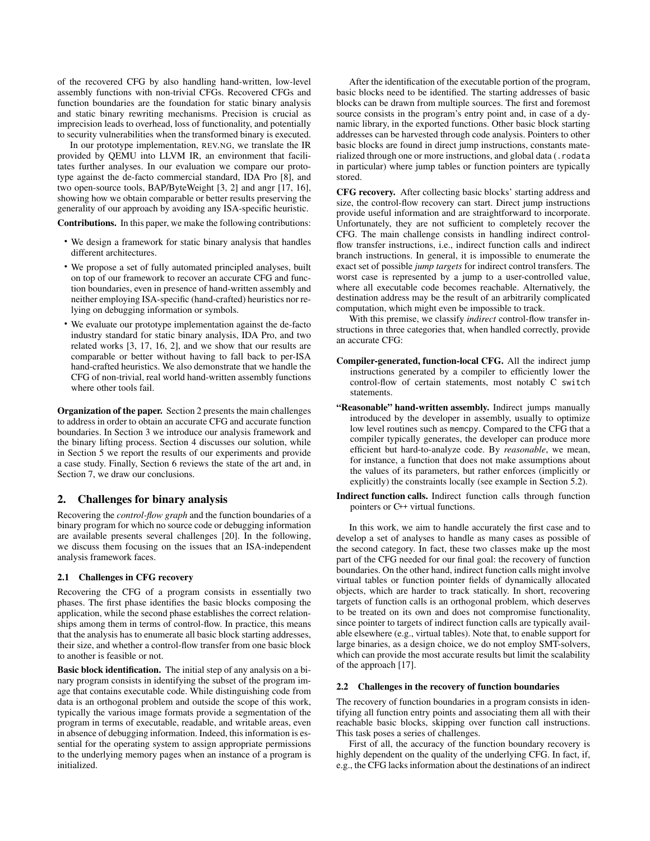of the recovered CFG by also handling hand-written, low-level assembly functions with non-trivial CFGs. Recovered CFGs and function boundaries are the foundation for static binary analysis and static binary rewriting mechanisms. Precision is crucial as imprecision leads to overhead, loss of functionality, and potentially to security vulnerabilities when the transformed binary is executed.

In our prototype implementation, REV.NG, we translate the IR provided by QEMU into LLVM IR, an environment that facilitates further analyses. In our evaluation we compare our prototype against the de-facto commercial standard, IDA Pro [\[8\]](#page-10-4), and two open-source tools, BAP/ByteWeight [\[3,](#page-10-5) [2\]](#page-10-6) and angr [\[17,](#page-10-10) [16\]](#page-10-11), showing how we obtain comparable or better results preserving the generality of our approach by avoiding any ISA-specific heuristic.

Contributions. In this paper, we make the following contributions:

- We design a framework for static binary analysis that handles different architectures.
- We propose a set of fully automated principled analyses, built on top of our framework to recover an accurate CFG and function boundaries, even in presence of hand-written assembly and neither employing ISA-specific (hand-crafted) heuristics nor relying on debugging information or symbols.
- We evaluate our prototype implementation against the de-facto industry standard for static binary analysis, IDA Pro, and two related works [\[3,](#page-10-5) [17,](#page-10-10) [16,](#page-10-11) [2\]](#page-10-6), and we show that our results are comparable or better without having to fall back to per-ISA hand-crafted heuristics. We also demonstrate that we handle the CFG of non-trivial, real world hand-written assembly functions where other tools fail.

Organization of the paper. Section [2](#page-1-0) presents the main challenges to address in order to obtain an accurate CFG and accurate function boundaries. In Section [3](#page-2-0) we introduce our analysis framework and the binary lifting process. Section [4](#page-3-0) discusses our solution, while in Section [5](#page-6-0) we report the results of our experiments and provide a case study. Finally, Section [6](#page-9-0) reviews the state of the art and, in Section [7,](#page-9-1) we draw our conclusions.

## <span id="page-1-0"></span>2. Challenges for binary analysis

Recovering the *control-flow graph* and the function boundaries of a binary program for which no source code or debugging information are available presents several challenges [\[20\]](#page-10-12). In the following, we discuss them focusing on the issues that an ISA-independent analysis framework faces.

## 2.1 Challenges in CFG recovery

Recovering the CFG of a program consists in essentially two phases. The first phase identifies the basic blocks composing the application, while the second phase establishes the correct relationships among them in terms of control-flow. In practice, this means that the analysis has to enumerate all basic block starting addresses, their size, and whether a control-flow transfer from one basic block to another is feasible or not.

Basic block identification. The initial step of any analysis on a binary program consists in identifying the subset of the program image that contains executable code. While distinguishing code from data is an orthogonal problem and outside the scope of this work, typically the various image formats provide a segmentation of the program in terms of executable, readable, and writable areas, even in absence of debugging information. Indeed, this information is essential for the operating system to assign appropriate permissions to the underlying memory pages when an instance of a program is initialized.

After the identification of the executable portion of the program, basic blocks need to be identified. The starting addresses of basic blocks can be drawn from multiple sources. The first and foremost source consists in the program's entry point and, in case of a dynamic library, in the exported functions. Other basic block starting addresses can be harvested through code analysis. Pointers to other basic blocks are found in direct jump instructions, constants materialized through one or more instructions, and global data (.rodata in particular) where jump tables or function pointers are typically stored.

CFG recovery. After collecting basic blocks' starting address and size, the control-flow recovery can start. Direct jump instructions provide useful information and are straightforward to incorporate. Unfortunately, they are not sufficient to completely recover the CFG. The main challenge consists in handling indirect controlflow transfer instructions, i.e., indirect function calls and indirect branch instructions. In general, it is impossible to enumerate the exact set of possible *jump targets* for indirect control transfers. The worst case is represented by a jump to a user-controlled value, where all executable code becomes reachable. Alternatively, the destination address may be the result of an arbitrarily complicated computation, which might even be impossible to track.

With this premise, we classify *indirect* control-flow transfer instructions in three categories that, when handled correctly, provide an accurate CFG:

- Compiler-generated, function-local CFG. All the indirect jump instructions generated by a compiler to efficiently lower the control-flow of certain statements, most notably C switch statements.
- "Reasonable" hand-written assembly. Indirect jumps manually introduced by the developer in assembly, usually to optimize low level routines such as memcpy. Compared to the CFG that a compiler typically generates, the developer can produce more efficient but hard-to-analyze code. By *reasonable*, we mean, for instance, a function that does not make assumptions about the values of its parameters, but rather enforces (implicitly or explicitly) the constraints locally (see example in Section [5.2\)](#page-9-2).
- Indirect function calls. Indirect function calls through function pointers or C++ virtual functions.

In this work, we aim to handle accurately the first case and to develop a set of analyses to handle as many cases as possible of the second category. In fact, these two classes make up the most part of the CFG needed for our final goal: the recovery of function boundaries. On the other hand, indirect function calls might involve virtual tables or function pointer fields of dynamically allocated objects, which are harder to track statically. In short, recovering targets of function calls is an orthogonal problem, which deserves to be treated on its own and does not compromise functionality, since pointer to targets of indirect function calls are typically available elsewhere (e.g., virtual tables). Note that, to enable support for large binaries, as a design choice, we do not employ SMT-solvers, which can provide the most accurate results but limit the scalability of the approach [\[17\]](#page-10-10).

### 2.2 Challenges in the recovery of function boundaries

The recovery of function boundaries in a program consists in identifying all function entry points and associating them all with their reachable basic blocks, skipping over function call instructions. This task poses a series of challenges.

First of all, the accuracy of the function boundary recovery is highly dependent on the quality of the underlying CFG. In fact, if, e.g., the CFG lacks information about the destinations of an indirect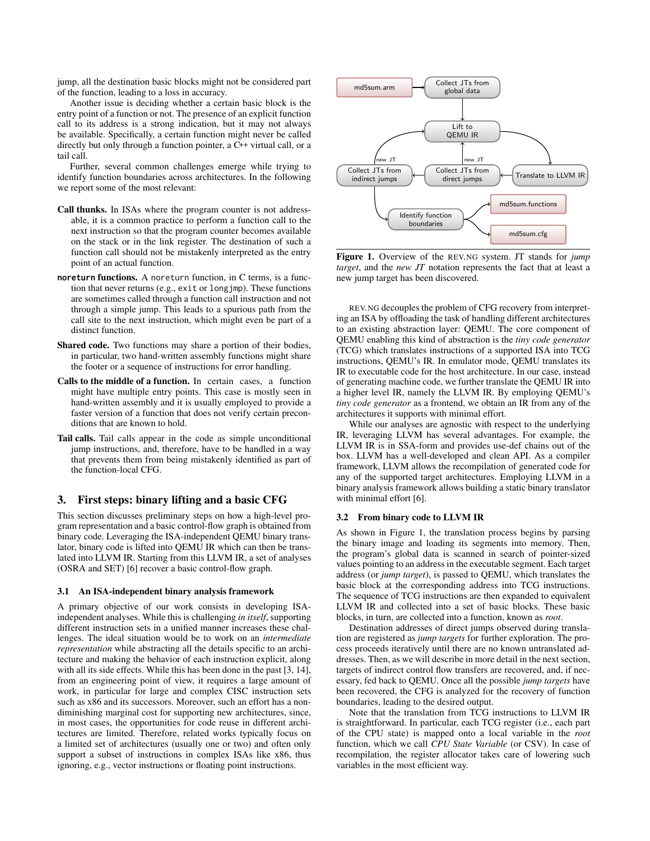jump, all the destination basic blocks might not be considered part of the function, leading to a loss in accuracy.

Another issue is deciding whether a certain basic block is the entry point of a function or not. The presence of an explicit function call to its address is a strong indication, but it may not always be available. Specifically, a certain function might never be called directly but only through a function pointer, a C<sup>++</sup> virtual call, or a tail call.

Further, several common challenges emerge while trying to identify function boundaries across architectures. In the following we report some of the most relevant:

- Call thunks. In ISAs where the program counter is not addressable, it is a common practice to perform a function call to the next instruction so that the program counter becomes available on the stack or in the link register. The destination of such a function call should not be mistakenly interpreted as the entry point of an actual function.
- **noreturn** functions. A noreturn function, in C terms, is a function that never returns (e.g., exit or longjmp). These functions are sometimes called through a function call instruction and not through a simple jump. This leads to a spurious path from the call site to the next instruction, which might even be part of a distinct function.
- Shared code. Two functions may share a portion of their bodies, in particular, two hand-written assembly functions might share the footer or a sequence of instructions for error handling.
- Calls to the middle of a function. In certain cases, a function might have multiple entry points. This case is mostly seen in hand-written assembly and it is usually employed to provide a faster version of a function that does not verify certain preconditions that are known to hold.
- Tail calls. Tail calls appear in the code as simple unconditional jump instructions, and, therefore, have to be handled in a way that prevents them from being mistakenly identified as part of the function-local CFG.

# <span id="page-2-0"></span>3. First steps: binary lifting and a basic CFG

This section discusses preliminary steps on how a high-level program representation and a basic control-flow graph is obtained from binary code. Leveraging the ISA-independent QEMU binary translator, binary code is lifted into QEMU IR which can then be translated into LLVM IR. Starting from this LLVM IR, a set of analyses (OSRA and SET) [\[6\]](#page-10-13) recover a basic control-flow graph.

#### 3.1 An ISA-independent binary analysis framework

A primary objective of our work consists in developing ISAindependent analyses. While this is challenging *in itself*, supporting different instruction sets in a unified manner increases these challenges. The ideal situation would be to work on an *intermediate representation* while abstracting all the details specific to an architecture and making the behavior of each instruction explicit, along with all its side effects. While this has been done in the past [\[3,](#page-10-5) [14\]](#page-10-8), from an engineering point of view, it requires a large amount of work, in particular for large and complex CISC instruction sets such as x86 and its successors. Moreover, such an effort has a nondiminishing marginal cost for supporting new architectures, since, in most cases, the opportunities for code reuse in different architectures are limited. Therefore, related works typically focus on a limited set of architectures (usually one or two) and often only support a subset of instructions in complex ISAs like x86, thus ignoring, e.g., vector instructions or floating point instructions.



<span id="page-2-1"></span>Figure 1. Overview of the REV.NG system. JT stands for *jump target*, and the *new JT* notation represents the fact that at least a new jump target has been discovered.

REV.NG decouples the problem of CFG recovery from interpreting an ISA by offloading the task of handling different architectures to an existing abstraction layer: QEMU. The core component of QEMU enabling this kind of abstraction is the *tiny code generator* (TCG) which translates instructions of a supported ISA into TCG instructions, QEMU's IR. In emulator mode, QEMU translates its IR to executable code for the host architecture. In our case, instead of generating machine code, we further translate the QEMU IR into a higher level IR, namely the LLVM IR. By employing QEMU's *tiny code generator* as a frontend, we obtain an IR from any of the architectures it supports with minimal effort.

While our analyses are agnostic with respect to the underlying IR, leveraging LLVM has several advantages. For example, the LLVM IR is in SSA-form and provides use-def chains out of the box. LLVM has a well-developed and clean API. As a compiler framework, LLVM allows the recompilation of generated code for any of the supported target architectures. Employing LLVM in a binary analysis framework allows building a static binary translator with minimal effort [\[6\]](#page-10-13).

### 3.2 From binary code to LLVM IR

As shown in Figure [1,](#page-2-1) the translation process begins by parsing the binary image and loading its segments into memory. Then, the program's global data is scanned in search of pointer-sized values pointing to an address in the executable segment. Each target address (or *jump target*), is passed to QEMU, which translates the basic block at the corresponding address into TCG instructions. The sequence of TCG instructions are then expanded to equivalent LLVM IR and collected into a set of basic blocks. These basic blocks, in turn, are collected into a function, known as *root*.

Destination addresses of direct jumps observed during translation are registered as *jump targets* for further exploration. The process proceeds iteratively until there are no known untranslated addresses. Then, as we will describe in more detail in the next section, targets of indirect control flow transfers are recovered, and, if necessary, fed back to QEMU. Once all the possible *jump targets* have been recovered, the CFG is analyzed for the recovery of function boundaries, leading to the desired output.

Note that the translation from TCG instructions to LLVM IR is straightforward. In particular, each TCG register (i.e., each part of the CPU state) is mapped onto a local variable in the *root* function, which we call *CPU State Variable* (or CSV). In case of recompilation, the register allocator takes care of lowering such variables in the most efficient way.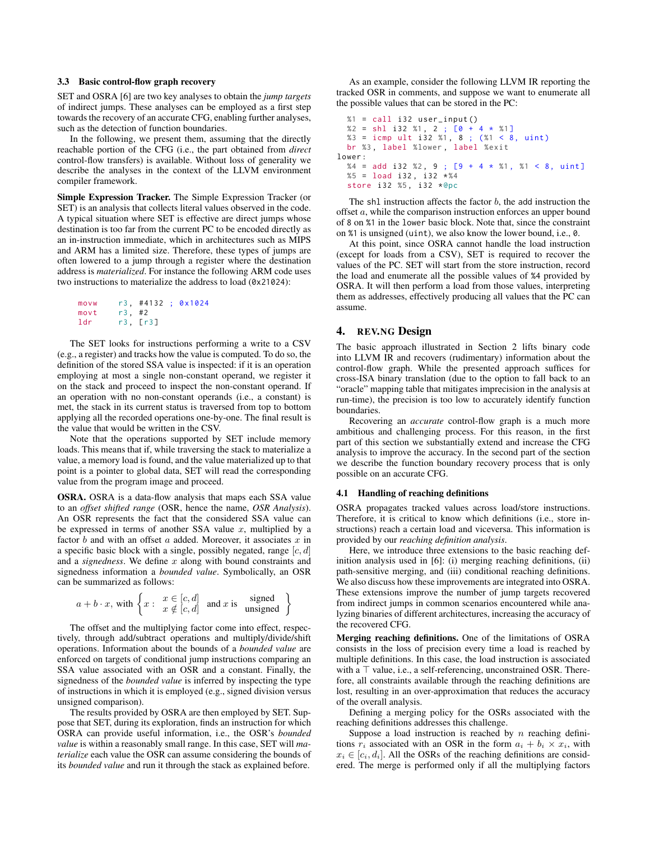## <span id="page-3-1"></span>3.3 Basic control-flow graph recovery

SET and OSRA [\[6\]](#page-10-13) are two key analyses to obtain the *jump targets* of indirect jumps. These analyses can be employed as a first step towards the recovery of an accurate CFG, enabling further analyses, such as the detection of function boundaries.

In the following, we present them, assuming that the directly reachable portion of the CFG (i.e., the part obtained from *direct* control-flow transfers) is available. Without loss of generality we describe the analyses in the context of the LLVM environment compiler framework.

Simple Expression Tracker. The Simple Expression Tracker (or SET) is an analysis that collects literal values observed in the code. A typical situation where SET is effective are direct jumps whose destination is too far from the current PC to be encoded directly as an in-instruction immediate, which in architectures such as MIPS and ARM has a limited size. Therefore, these types of jumps are often lowered to a jump through a register where the destination address is *materialized*. For instance the following ARM code uses two instructions to materialize the address to load (0x21024):

movw r3 , #4132 ; 0 x1024 movt r3 , #2 ldr r3 , [r3]

The SET looks for instructions performing a write to a CSV (e.g., a register) and tracks how the value is computed. To do so, the definition of the stored SSA value is inspected: if it is an operation employing at most a single non-constant operand, we register it on the stack and proceed to inspect the non-constant operand. If an operation with no non-constant operands (i.e., a constant) is met, the stack in its current status is traversed from top to bottom applying all the recorded operations one-by-one. The final result is the value that would be written in the CSV.

Note that the operations supported by SET include memory loads. This means that if, while traversing the stack to materialize a value, a memory load is found, and the value materialized up to that point is a pointer to global data, SET will read the corresponding value from the program image and proceed.

OSRA. OSRA is a data-flow analysis that maps each SSA value to an *offset shifted range* (OSR, hence the name, *OSR Analysis*). An OSR represents the fact that the considered SSA value can be expressed in terms of another SSA value  $x$ , multiplied by a factor  $b$  and with an offset  $a$  added. Moreover, it associates  $x$  in a specific basic block with a single, possibly negated, range  $[c, d]$ and a *signedness*. We define x along with bound constraints and signedness information a *bounded value*. Symbolically, an OSR can be summarized as follows:

$$
a + b \cdot x, \text{ with } \left\{ x : \begin{array}{l} x \in [c, d] \\ x \notin [c, d] \end{array} \right. \text{ and } x \text{ is } \begin{array}{l} \text{signed} \\ \text{unsigned} \end{array} \right\}
$$

The offset and the multiplying factor come into effect, respectively, through add/subtract operations and multiply/divide/shift operations. Information about the bounds of a *bounded value* are enforced on targets of conditional jump instructions comparing an SSA value associated with an OSR and a constant. Finally, the signedness of the *bounded value* is inferred by inspecting the type of instructions in which it is employed (e.g., signed division versus unsigned comparison).

The results provided by OSRA are then employed by SET. Suppose that SET, during its exploration, finds an instruction for which OSRA can provide useful information, i.e., the OSR's *bounded value* is within a reasonably small range. In this case, SET will *materialize* each value the OSR can assume considering the bounds of its *bounded value* and run it through the stack as explained before.

As an example, consider the following LLVM IR reporting the tracked OSR in comments, and suppose we want to enumerate all the possible values that can be stored in the PC:

```
%1 = call i32 user_input ()
 %2 = sh1 i32 %1, 2; [0 + 4 * %1]
 %3 = icmp ult i32 %1, 8 ; (%1 < 8, uint)
 br %3 , label %lower , label %exit
lower :
 %4 = add i32 %2, 9 ; [9 + 4 * %1, %1 < 8, unit]%5 = load i32 , i32 *%4
  store i32 %5, i32 *@pc
```
The shl instruction affects the factor  $b$ , the add instruction the offset a, while the comparison instruction enforces an upper bound of 8 on %1 in the lower basic block. Note that, since the constraint on %1 is unsigned (uint), we also know the lower bound, i.e., 0.

At this point, since OSRA cannot handle the load instruction (except for loads from a CSV), SET is required to recover the values of the PC. SET will start from the store instruction, record the load and enumerate all the possible values of %4 provided by OSRA. It will then perform a load from those values, interpreting them as addresses, effectively producing all values that the PC can assume.

# <span id="page-3-0"></span>4. REV.NG Design

The basic approach illustrated in Section [2](#page-1-0) lifts binary code into LLVM IR and recovers (rudimentary) information about the control-flow graph. While the presented approach suffices for cross-ISA binary translation (due to the option to fall back to an "oracle" mapping table that mitigates imprecision in the analysis at run-time), the precision is too low to accurately identify function boundaries.

Recovering an *accurate* control-flow graph is a much more ambitious and challenging process. For this reason, in the first part of this section we substantially extend and increase the CFG analysis to improve the accuracy. In the second part of the section we describe the function boundary recovery process that is only possible on an accurate CFG.

### 4.1 Handling of reaching definitions

OSRA propagates tracked values across load/store instructions. Therefore, it is critical to know which definitions (i.e., store instructions) reach a certain load and viceversa. This information is provided by our *reaching definition analysis*.

Here, we introduce three extensions to the basic reaching definition analysis used in [\[6\]](#page-10-13): (i) merging reaching definitions, (ii) path-sensitive merging, and (iii) conditional reaching definitions. We also discuss how these improvements are integrated into OSRA. These extensions improve the number of jump targets recovered from indirect jumps in common scenarios encountered while analyzing binaries of different architectures, increasing the accuracy of the recovered CFG.

Merging reaching definitions. One of the limitations of OSRA consists in the loss of precision every time a load is reached by multiple definitions. In this case, the load instruction is associated with a  $\top$  value, i.e., a self-referencing, unconstrained OSR. Therefore, all constraints available through the reaching definitions are lost, resulting in an over-approximation that reduces the accuracy of the overall analysis.

Defining a merging policy for the OSRs associated with the reaching definitions addresses this challenge.

Suppose a load instruction is reached by  $n$  reaching definitions  $r_i$  associated with an OSR in the form  $a_i + b_i \times x_i$ , with  $x_i \in [c_i, d_i]$ . All the OSRs of the reaching definitions are considered. The merge is performed only if all the multiplying factors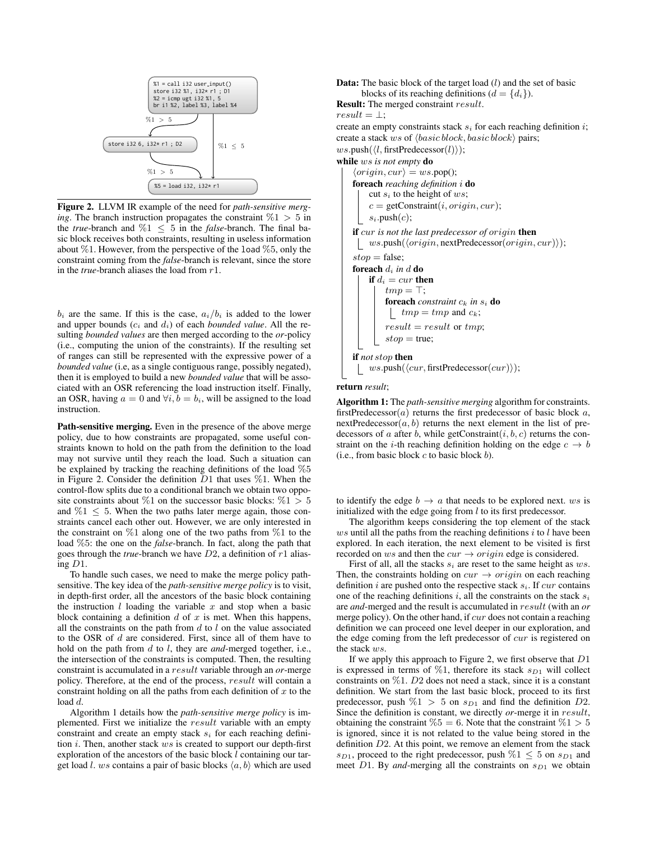

<span id="page-4-0"></span>Figure 2. LLVM IR example of the need for *path-sensitive merging*. The branch instruction propagates the constraint  $\%1 > 5$  in the *true*-branch and  $\%1 \leq 5$  in the *false*-branch. The final basic block receives both constraints, resulting in useless information about  $\%1$ . However, from the perspective of the load  $\%5$ , only the constraint coming from the *false*-branch is relevant, since the store in the *true*-branch aliases the load from r1.

 $b_i$  are the same. If this is the case,  $a_i/b_i$  is added to the lower and upper bounds  $(c_i$  and  $d_i$ ) of each *bounded value*. All the resulting *bounded values* are then merged according to the *or*-policy (i.e., computing the union of the constraints). If the resulting set of ranges can still be represented with the expressive power of a *bounded value* (i.e, as a single contiguous range, possibly negated), then it is employed to build a new *bounded value* that will be associated with an OSR referencing the load instruction itself. Finally, an OSR, having  $a = 0$  and  $\forall i, b = b_i$ , will be assigned to the load instruction.

Path-sensitive merging. Even in the presence of the above merge policy, due to how constraints are propagated, some useful constraints known to hold on the path from the definition to the load may not survive until they reach the load. Such a situation can be explained by tracking the reaching definitions of the load %5 in Figure [2.](#page-4-0) Consider the definition  $D1$  that uses  $\%1$ . When the control-flow splits due to a conditional branch we obtain two opposite constraints about  $\%1$  on the successor basic blocks:  $\%1 > 5$ and  $\%1 \leq 5$ . When the two paths later merge again, those constraints cancel each other out. However, we are only interested in the constraint on  $\%1$  along one of the two paths from  $\%1$  to the load %5: the one on the *false*-branch. In fact, along the path that goes through the *true*-branch we have D2, a definition of r1 aliasing  $D1$ .

To handle such cases, we need to make the merge policy pathsensitive. The key idea of the *path-sensitive merge policy* is to visit, in depth-first order, all the ancestors of the basic block containing the instruction  $l$  loading the variable  $x$  and stop when a basic block containing a definition  $d$  of  $x$  is met. When this happens, all the constraints on the path from  $d$  to  $l$  on the value associated to the OSR of d are considered. First, since all of them have to hold on the path from d to l, they are *and*-merged together, i.e., the intersection of the constraints is computed. Then, the resulting constraint is accumulated in a result variable through an *or*-merge policy. Therefore, at the end of the process, result will contain a constraint holding on all the paths from each definition of  $x$  to the load d.

Algorithm [1](#page-4-1) details how the *path-sensitive merge policy* is implemented. First we initialize the result variable with an empty constraint and create an empty stack  $s_i$  for each reaching definition  $i$ . Then, another stack  $ws$  is created to support our depth-first exploration of the ancestors of the basic block  $l$  containing our target load l. ws contains a pair of basic blocks  $\langle a, b \rangle$  which are used <span id="page-4-1"></span>**Data:** The basic block of the target load  $(l)$  and the set of basic blocks of its reaching definitions  $(d = \{d_i\})$ .

Result: The merged constraint  $result$ .  $result = \perp;$ create an empty constraints stack  $s_i$  for each reaching definition *i*; create a stack ws of  $\langle basic block, basic block \rangle$  pairs;  $ws.push(\langle l, firstPredecessary(l)\rangle);$ while ws *is not empty* do  $\langle origin, cur \rangle = ws.pop();$ foreach *reaching definition* i do cut  $s_i$  to the height of  $ws$ ;  $c = getConstant(i, origin, cur);$  $s_i$ .push $(c)$ ; if cur *is not the last predecessor of* origin then ws.push( $\langle origin, nextPredecessor(origin, cur)\rangle);$  $stop = false$ : foreach  $d_i$  *in*  $d$  do if  $d_i = cur$  then  $tmp = \top;$ foreach *constraint*  $c_k$  *in*  $s_i$  do  $tmp = tmp$  and  $c_k$ ;  $result = result$  or  $tmp;$  $stop = true;$ if *not* stop then  $ws.push(\langle cur, firstPredecessary(cur)\rangle);$ 

return *result*;

Algorithm 1: The *path-sensitive merging* algorithm for constraints. firstPredecessor $(a)$  returns the first predecessor of basic block a, nextPredecessor $(a, b)$  returns the next element in the list of predecessors of a after b, while getConstraint $(i, b, c)$  returns the constraint on the *i*-th reaching definition holding on the edge  $c \rightarrow b$ (i.e., from basic block  $c$  to basic block  $b$ ).

to identify the edge  $b \rightarrow a$  that needs to be explored next. ws is initialized with the edge going from  $l$  to its first predecessor.

The algorithm keeps considering the top element of the stack  $ws$  until all the paths from the reaching definitions  $i$  to  $l$  have been explored. In each iteration, the next element to be visited is first recorded on ws and then the  $cur \rightarrow origin$  edge is considered.

First of all, all the stacks  $s_i$  are reset to the same height as  $ws$ . Then, the constraints holding on  $cur \rightarrow origin$  on each reaching definition i are pushed onto the respective stack  $s_i$ . If cur contains one of the reaching definitions  $i$ , all the constraints on the stack  $s_i$ are *and*-merged and the result is accumulated in result (with an *or* merge policy). On the other hand, if cur does not contain a reaching definition we can proceed one level deeper in our exploration, and the edge coming from the left predecessor of cur is registered on the stack ws.

If we apply this approach to Figure [2,](#page-4-0) we first observe that D1 is expressed in terms of  $\%1$ , therefore its stack  $s_{D1}$  will collect constraints on  $\%1$ . D2 does not need a stack, since it is a constant definition. We start from the last basic block, proceed to its first predecessor, push  $\%1 > 5$  on  $s_{D1}$  and find the definition D2. Since the definition is constant, we directly *or*-merge it in result, obtaining the constraint  $\%5 = 6$ . Note that the constraint  $\%1 > 5$ is ignored, since it is not related to the value being stored in the definition D2. At this point, we remove an element from the stack  $s_{D1}$ , proceed to the right predecessor, push  $\%1 \leq 5$  on  $s_{D1}$  and meet  $D1$ . By *and*-merging all the constraints on  $s_{D1}$  we obtain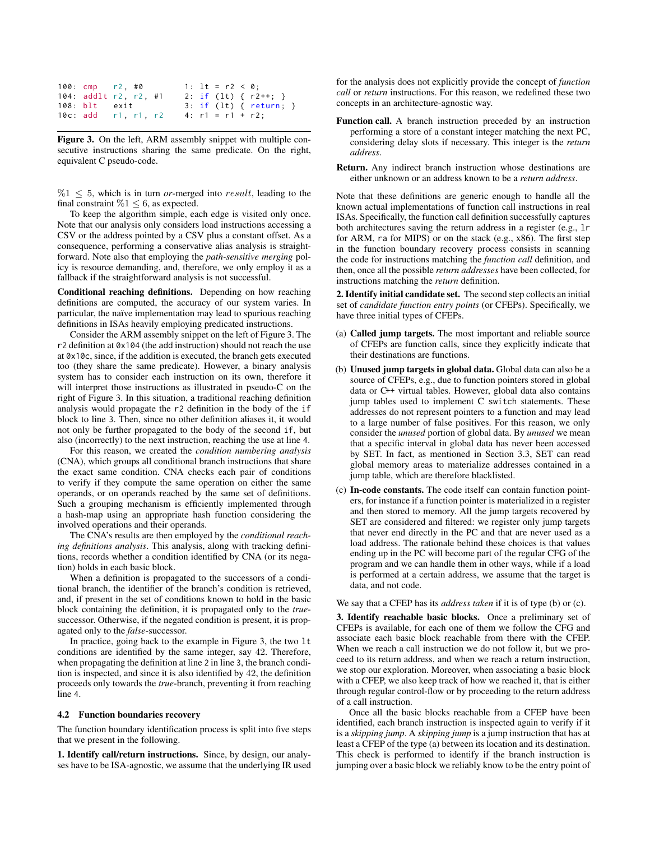|  | 100: cmp r2, #0       |  | 1: $lt = r2 < 0$ :  |                          |
|--|-----------------------|--|---------------------|--------------------------|
|  | 104: addlt r2, r2, #1 |  |                     | 2: if (1t) { $r2++$ ; }  |
|  | 108 blt exit          |  |                     | $3:$ if (1t) { return; } |
|  | 10c: add r1, r1, r2   |  | 4: $r1 = r1 + r2$ ; |                          |

<span id="page-5-0"></span>Figure 3. On the left, ARM assembly snippet with multiple consecutive instructions sharing the same predicate. On the right, equivalent C pseudo-code.

 $\%1 \leq 5$ , which is in turn *or*-merged into *result*, leading to the final constraint  $\%1 \leq 6$ , as expected.

To keep the algorithm simple, each edge is visited only once. Note that our analysis only considers load instructions accessing a CSV or the address pointed by a CSV plus a constant offset. As a consequence, performing a conservative alias analysis is straightforward. Note also that employing the *path-sensitive merging* policy is resource demanding, and, therefore, we only employ it as a fallback if the straightforward analysis is not successful.

Conditional reaching definitions. Depending on how reaching definitions are computed, the accuracy of our system varies. In particular, the naïve implementation may lead to spurious reaching definitions in ISAs heavily employing predicated instructions.

Consider the ARM assembly snippet on the left of Figure [3.](#page-5-0) The r2 definition at 0x104 (the add instruction) should not reach the use at 0x10c, since, if the addition is executed, the branch gets executed too (they share the same predicate). However, a binary analysis system has to consider each instruction on its own, therefore it will interpret those instructions as illustrated in pseudo-C on the right of Figure [3.](#page-5-0) In this situation, a traditional reaching definition analysis would propagate the r2 definition in the body of the if block to line 3. Then, since no other definition aliases it, it would not only be further propagated to the body of the second if, but also (incorrectly) to the next instruction, reaching the use at line 4.

For this reason, we created the *condition numbering analysis* (CNA), which groups all conditional branch instructions that share the exact same condition. CNA checks each pair of conditions to verify if they compute the same operation on either the same operands, or on operands reached by the same set of definitions. Such a grouping mechanism is efficiently implemented through a hash-map using an appropriate hash function considering the involved operations and their operands.

The CNA's results are then employed by the *conditional reaching definitions analysis*. This analysis, along with tracking definitions, records whether a condition identified by CNA (or its negation) holds in each basic block.

When a definition is propagated to the successors of a conditional branch, the identifier of the branch's condition is retrieved, and, if present in the set of conditions known to hold in the basic block containing the definition, it is propagated only to the *true*successor. Otherwise, if the negated condition is present, it is propagated only to the *false*-successor.

In practice, going back to the example in Figure [3,](#page-5-0) the two lt conditions are identified by the same integer, say 42. Therefore, when propagating the definition at line 2 in line 3, the branch condition is inspected, and since it is also identified by 42, the definition proceeds only towards the *true*-branch, preventing it from reaching line 4.

## 4.2 Function boundaries recovery

The function boundary identification process is split into five steps that we present in the following.

1. Identify call/return instructions. Since, by design, our analyses have to be ISA-agnostic, we assume that the underlying IR used for the analysis does not explicitly provide the concept of *function call* or *return* instructions. For this reason, we redefined these two concepts in an architecture-agnostic way.

- Function call. A branch instruction preceded by an instruction performing a store of a constant integer matching the next PC, considering delay slots if necessary. This integer is the *return address*.
- Return. Any indirect branch instruction whose destinations are either unknown or an address known to be a *return address*.

Note that these definitions are generic enough to handle all the known actual implementations of function call instructions in real ISAs. Specifically, the function call definition successfully captures both architectures saving the return address in a register (e.g., lr for ARM, ra for MIPS) or on the stack (e.g., x86). The first step in the function boundary recovery process consists in scanning the code for instructions matching the *function call* definition, and then, once all the possible *return addresses* have been collected, for instructions matching the *return* definition.

2. Identify initial candidate set. The second step collects an initial set of *candidate function entry points* (or CFEPs). Specifically, we have three initial types of CFEPs.

- (a) Called jump targets. The most important and reliable source of CFEPs are function calls, since they explicitly indicate that their destinations are functions.
- (b) Unused jump targets in global data. Global data can also be a source of CFEPs, e.g., due to function pointers stored in global data or C++ virtual tables. However, global data also contains jump tables used to implement C switch statements. These addresses do not represent pointers to a function and may lead to a large number of false positives. For this reason, we only consider the *unused* portion of global data. By *unused* we mean that a specific interval in global data has never been accessed by SET. In fact, as mentioned in Section [3.3,](#page-3-1) SET can read global memory areas to materialize addresses contained in a jump table, which are therefore blacklisted.
- (c) In-code constants. The code itself can contain function pointers, for instance if a function pointer is materialized in a register and then stored to memory. All the jump targets recovered by SET are considered and filtered: we register only jump targets that never end directly in the PC and that are never used as a load address. The rationale behind these choices is that values ending up in the PC will become part of the regular CFG of the program and we can handle them in other ways, while if a load is performed at a certain address, we assume that the target is data, and not code.

We say that a CFEP has its *address taken* if it is of type (b) or (c).

3. Identify reachable basic blocks. Once a preliminary set of CFEPs is available, for each one of them we follow the CFG and associate each basic block reachable from there with the CFEP. When we reach a call instruction we do not follow it, but we proceed to its return address, and when we reach a return instruction, we stop our exploration. Moreover, when associating a basic block with a CFEP, we also keep track of how we reached it, that is either through regular control-flow or by proceeding to the return address of a call instruction.

Once all the basic blocks reachable from a CFEP have been identified, each branch instruction is inspected again to verify if it is a *skipping jump*. A *skipping jump* is a jump instruction that has at least a CFEP of the type (a) between its location and its destination. This check is performed to identify if the branch instruction is jumping over a basic block we reliably know to be the entry point of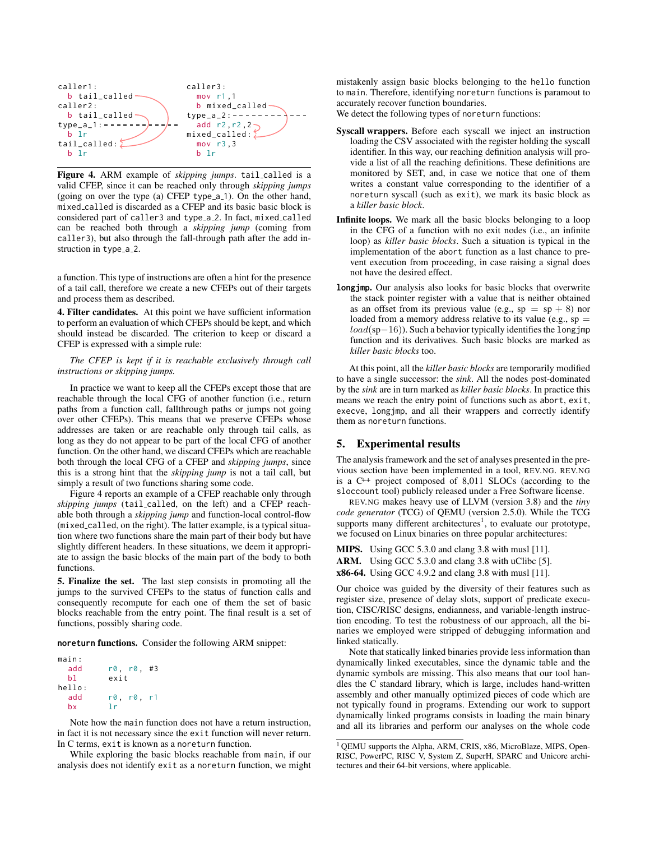

<span id="page-6-1"></span>Figure 4. ARM example of *skipping jumps*. tail called is a valid CFEP, since it can be reached only through *skipping jumps* (going on over the type (a) CFEP type  $a=1$ ). On the other hand, mixed called is discarded as a CFEP and its basic basic block is considered part of caller3 and type a 2. In fact, mixed called can be reached both through a *skipping jump* (coming from caller3), but also through the fall-through path after the add instruction in type\_a\_2.

a function. This type of instructions are often a hint for the presence of a tail call, therefore we create a new CFEPs out of their targets and process them as described.

4. Filter candidates. At this point we have sufficient information to perform an evaluation of which CFEPs should be kept, and which should instead be discarded. The criterion to keep or discard a CFEP is expressed with a simple rule:

*The CFEP is kept if it is reachable exclusively through call instructions or skipping jumps.*

In practice we want to keep all the CFEPs except those that are reachable through the local CFG of another function (i.e., return paths from a function call, fallthrough paths or jumps not going over other CFEPs). This means that we preserve CFEPs whose addresses are taken or are reachable only through tail calls, as long as they do not appear to be part of the local CFG of another function. On the other hand, we discard CFEPs which are reachable both through the local CFG of a CFEP and *skipping jumps*, since this is a strong hint that the *skipping jump* is not a tail call, but simply a result of two functions sharing some code.

Figure [4](#page-6-1) reports an example of a CFEP reachable only through *skipping jumps* (tail called, on the left) and a CFEP reachable both through a *skipping jump* and function-local control-flow (mixed called, on the right). The latter example, is a typical situation where two functions share the main part of their body but have slightly different headers. In these situations, we deem it appropriate to assign the basic blocks of the main part of the body to both functions.

5. Finalize the set. The last step consists in promoting all the jumps to the survived CFEPs to the status of function calls and consequently recompute for each one of them the set of basic blocks reachable from the entry point. The final result is a set of functions, possibly sharing code.

**noreturn** functions. Consider the following ARM snippet:

| main:  |            |  |
|--------|------------|--|
| add    | r0, r0, #3 |  |
| h1.    | exit       |  |
| hello: |            |  |
| add    | r0, r0, r1 |  |
| hх     | 1r         |  |

Note how the main function does not have a return instruction, in fact it is not necessary since the exit function will never return. In C terms, exit is known as a noreturn function.

While exploring the basic blocks reachable from main, if our analysis does not identify exit as a noreturn function, we might mistakenly assign basic blocks belonging to the hello function to main. Therefore, identifying noreturn functions is paramout to accurately recover function boundaries.

We detect the following types of noreturn functions:

- Syscall wrappers. Before each syscall we inject an instruction loading the CSV associated with the register holding the syscall identifier. In this way, our reaching definition analysis will provide a list of all the reaching definitions. These definitions are monitored by SET, and, in case we notice that one of them writes a constant value corresponding to the identifier of a noreturn syscall (such as exit), we mark its basic block as a *killer basic block*.
- Infinite loops. We mark all the basic blocks belonging to a loop in the CFG of a function with no exit nodes (i.e., an infinite loop) as *killer basic blocks*. Such a situation is typical in the implementation of the abort function as a last chance to prevent execution from proceeding, in case raising a signal does not have the desired effect.
- **longjmp**. Our analysis also looks for basic blocks that overwrite the stack pointer register with a value that is neither obtained as an offset from its previous value (e.g.,  $sp = sp + 8$ ) nor loaded from a memory address relative to its value (e.g.,  $sp =$  $load(sp-16)$ ). Such a behavior typically identifies the longjmp function and its derivatives. Such basic blocks are marked as *killer basic blocks* too.

At this point, all the *killer basic blocks* are temporarily modified to have a single successor: the *sink*. All the nodes post-dominated by the *sink* are in turn marked as *killer basic blocks*. In practice this means we reach the entry point of functions such as abort, exit, execve, longjmp, and all their wrappers and correctly identify them as noreturn functions.

# <span id="page-6-0"></span>5. Experimental results

The analysis framework and the set of analyses presented in the previous section have been implemented in a tool, REV.NG. REV.NG is a C++ project composed of 8,011 SLOCs (according to the sloccount tool) publicly released under a Free Software license.

REV.NG makes heavy use of LLVM (version 3.8) and the *tiny code generator* (TCG) of QEMU (version 2.5.0). While the TCG supports many different architectures<sup>[1](#page-6-2)</sup>, to evaluate our prototype, we focused on Linux binaries on three popular architectures:

MIPS. Using GCC 5.3.0 and clang 3.8 with musl [\[11\]](#page-10-14). ARM. Using GCC 5.3.0 and clang 3.8 with uClibc [\[5\]](#page-10-15). x86-64. Using GCC 4.9.2 and clang 3.8 with musl [\[11\]](#page-10-14).

Our choice was guided by the diversity of their features such as register size, presence of delay slots, support of predicate execution, CISC/RISC designs, endianness, and variable-length instruction encoding. To test the robustness of our approach, all the binaries we employed were stripped of debugging information and linked statically.

Note that statically linked binaries provide less information than dynamically linked executables, since the dynamic table and the dynamic symbols are missing. This also means that our tool handles the C standard library, which is large, includes hand-written assembly and other manually optimized pieces of code which are not typically found in programs. Extending our work to support dynamically linked programs consists in loading the main binary and all its libraries and perform our analyses on the whole code

<span id="page-6-2"></span><sup>&</sup>lt;sup>1</sup> QEMU supports the Alpha, ARM, CRIS, x86, MicroBlaze, MIPS, Open-RISC, PowerPC, RISC V, System Z, SuperH, SPARC and Unicore architectures and their 64-bit versions, where applicable.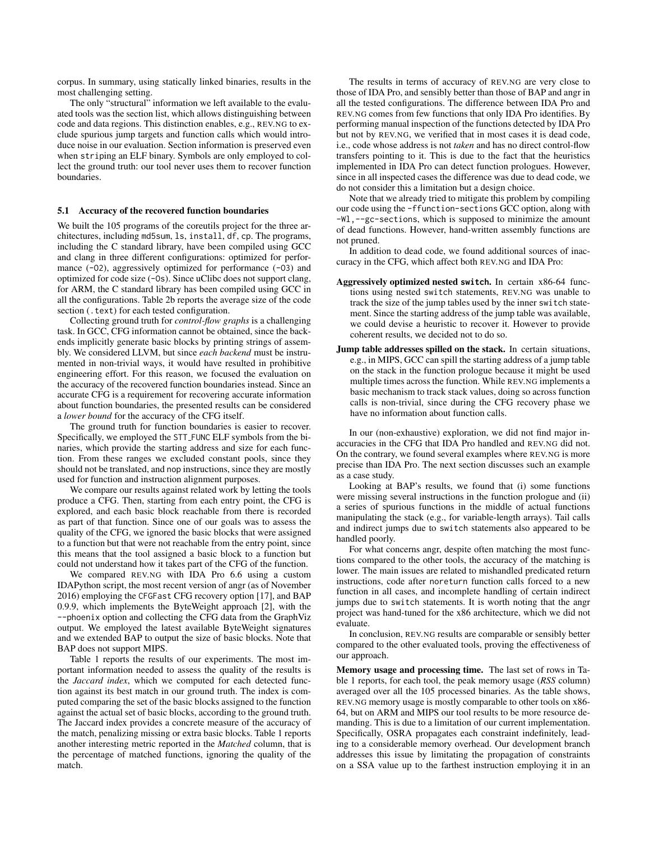corpus. In summary, using statically linked binaries, results in the most challenging setting.

The only "structural" information we left available to the evaluated tools was the section list, which allows distinguishing between code and data regions. This distinction enables, e.g., REV.NG to exclude spurious jump targets and function calls which would introduce noise in our evaluation. Section information is preserved even when striping an ELF binary. Symbols are only employed to collect the ground truth: our tool never uses them to recover function boundaries.

### 5.1 Accuracy of the recovered function boundaries

We built the 105 programs of the coreutils project for the three architectures, including md5sum, ls, install, df, cp. The programs, including the C standard library, have been compiled using GCC and clang in three different configurations: optimized for performance (-02), aggressively optimized for performance (-03) and optimized for code size (-Os). Since uClibc does not support clang, for ARM, the C standard library has been compiled using GCC in all the configurations. Table [2b](#page-8-0) reports the average size of the code section (.text) for each tested configuration.

Collecting ground truth for *control-flow graphs* is a challenging task. In GCC, CFG information cannot be obtained, since the backends implicitly generate basic blocks by printing strings of assembly. We considered LLVM, but since *each backend* must be instrumented in non-trivial ways, it would have resulted in prohibitive engineering effort. For this reason, we focused the evaluation on the accuracy of the recovered function boundaries instead. Since an accurate CFG is a requirement for recovering accurate information about function boundaries, the presented results can be considered a *lower bound* for the accuracy of the CFG itself.

The ground truth for function boundaries is easier to recover. Specifically, we employed the STT FUNC ELF symbols from the binaries, which provide the starting address and size for each function. From these ranges we excluded constant pools, since they should not be translated, and nop instructions, since they are mostly used for function and instruction alignment purposes.

We compare our results against related work by letting the tools produce a CFG. Then, starting from each entry point, the CFG is explored, and each basic block reachable from there is recorded as part of that function. Since one of our goals was to assess the quality of the CFG, we ignored the basic blocks that were assigned to a function but that were not reachable from the entry point, since this means that the tool assigned a basic block to a function but could not understand how it takes part of the CFG of the function.

We compared REV.NG with IDA Pro 6.6 using a custom IDAPython script, the most recent version of angr (as of November 2016) employing the CFGFast CFG recovery option [\[17\]](#page-10-10), and BAP 0.9.9, which implements the ByteWeight approach [\[2\]](#page-10-6), with the --phoenix option and collecting the CFG data from the GraphViz output. We employed the latest available ByteWeight signatures and we extended BAP to output the size of basic blocks. Note that BAP does not support MIPS.

Table [1](#page-8-1) reports the results of our experiments. The most important information needed to assess the quality of the results is the *Jaccard index*, which we computed for each detected function against its best match in our ground truth. The index is computed comparing the set of the basic blocks assigned to the function against the actual set of basic blocks, according to the ground truth. The Jaccard index provides a concrete measure of the accuracy of the match, penalizing missing or extra basic blocks. Table [1](#page-8-1) reports another interesting metric reported in the *Matched* column, that is the percentage of matched functions, ignoring the quality of the match.

The results in terms of accuracy of REV.NG are very close to those of IDA Pro, and sensibly better than those of BAP and angr in all the tested configurations. The difference between IDA Pro and REV.NG comes from few functions that only IDA Pro identifies. By performing manual inspection of the functions detected by IDA Pro but not by REV.NG, we verified that in most cases it is dead code, i.e., code whose address is not *taken* and has no direct control-flow transfers pointing to it. This is due to the fact that the heuristics implemented in IDA Pro can detect function prologues. However, since in all inspected cases the difference was due to dead code, we do not consider this a limitation but a design choice.

Note that we already tried to mitigate this problem by compiling our code using the -ffunction-sections GCC option, along with -Wl,--gc-sections, which is supposed to minimize the amount of dead functions. However, hand-written assembly functions are not pruned.

In addition to dead code, we found additional sources of inaccuracy in the CFG, which affect both REV.NG and IDA Pro:

- Aggressively optimized nested **switch**. In certain x86-64 functions using nested switch statements, REV.NG was unable to track the size of the jump tables used by the inner switch statement. Since the starting address of the jump table was available, we could devise a heuristic to recover it. However to provide coherent results, we decided not to do so.
- Jump table addresses spilled on the stack. In certain situations, e.g., in MIPS, GCC can spill the starting address of a jump table on the stack in the function prologue because it might be used multiple times across the function. While REV.NG implements a basic mechanism to track stack values, doing so across function calls is non-trivial, since during the CFG recovery phase we have no information about function calls.

In our (non-exhaustive) exploration, we did not find major inaccuracies in the CFG that IDA Pro handled and REV.NG did not. On the contrary, we found several examples where REV.NG is more precise than IDA Pro. The next section discusses such an example as a case study.

Looking at BAP's results, we found that (i) some functions were missing several instructions in the function prologue and (ii) a series of spurious functions in the middle of actual functions manipulating the stack (e.g., for variable-length arrays). Tail calls and indirect jumps due to switch statements also appeared to be handled poorly.

For what concerns angr, despite often matching the most functions compared to the other tools, the accuracy of the matching is lower. The main issues are related to mishandled predicated return instructions, code after noreturn function calls forced to a new function in all cases, and incomplete handling of certain indirect jumps due to switch statements. It is worth noting that the angr project was hand-tuned for the x86 architecture, which we did not evaluate.

In conclusion, REV.NG results are comparable or sensibly better compared to the other evaluated tools, proving the effectiveness of our approach.

Memory usage and processing time. The last set of rows in Table [1](#page-8-1) reports, for each tool, the peak memory usage (*RSS* column) averaged over all the 105 processed binaries. As the table shows, REV.NG memory usage is mostly comparable to other tools on x86- 64, but on ARM and MIPS our tool results to be more resource demanding. This is due to a limitation of our current implementation. Specifically, OSRA propagates each constraint indefinitely, leading to a considerable memory overhead. Our development branch addresses this issue by limitating the propagation of constraints on a SSA value up to the farthest instruction employing it in an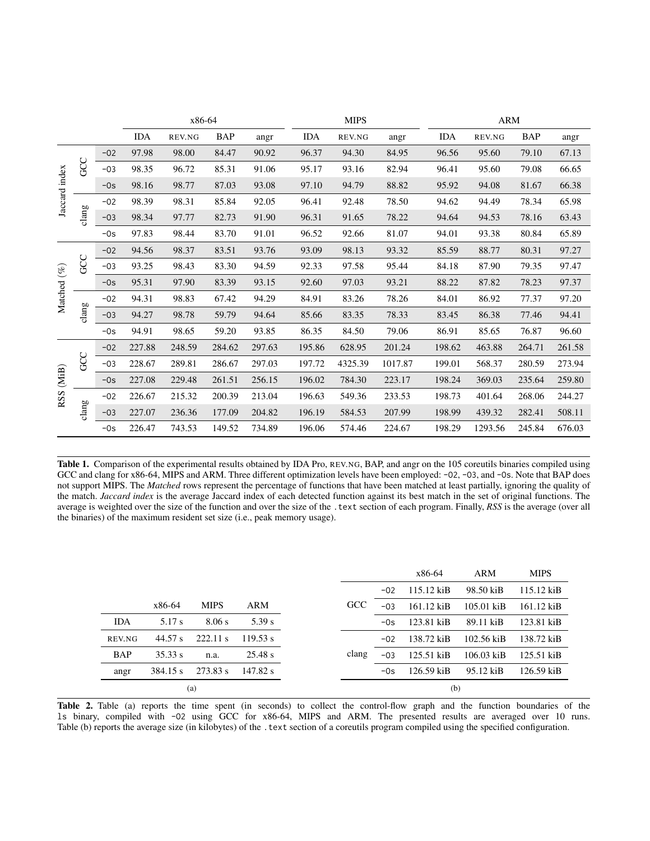|                |            |       |            | x86-64<br><b>MIPS</b> |            |        |            | ARM     |         |        |         |            |        |
|----------------|------------|-------|------------|-----------------------|------------|--------|------------|---------|---------|--------|---------|------------|--------|
|                |            |       | <b>IDA</b> | REV.NG                | <b>BAP</b> | angr   | <b>IDA</b> | REV.NG  | angr    | IDA    | REV.NG  | <b>BAP</b> | angr   |
| Jaccard index  |            | $-02$ | 97.98      | 98.00                 | 84.47      | 90.92  | 96.37      | 94.30   | 84.95   | 96.56  | 95.60   | 79.10      | 67.13  |
|                | GCC        | $-03$ | 98.35      | 96.72                 | 85.31      | 91.06  | 95.17      | 93.16   | 82.94   | 96.41  | 95.60   | 79.08      | 66.65  |
|                |            | $-0s$ | 98.16      | 98.77                 | 87.03      | 93.08  | 97.10      | 94.79   | 88.82   | 95.92  | 94.08   | 81.67      | 66.38  |
|                |            | $-02$ | 98.39      | 98.31                 | 85.84      | 92.05  | 96.41      | 92.48   | 78.50   | 94.62  | 94.49   | 78.34      | 65.98  |
|                | clang      | $-03$ | 98.34      | 97.77                 | 82.73      | 91.90  | 96.31      | 91.65   | 78.22   | 94.64  | 94.53   | 78.16      | 63.43  |
|                |            | $-0s$ | 97.83      | 98.44                 | 83.70      | 91.01  | 96.52      | 92.66   | 81.07   | 94.01  | 93.38   | 80.84      | 65.89  |
|                |            | $-02$ | 94.56      | 98.37                 | 83.51      | 93.76  | 93.09      | 98.13   | 93.32   | 85.59  | 88.77   | 80.31      | 97.27  |
| Matched (%)    | <b>GCC</b> | $-03$ | 93.25      | 98.43                 | 83.30      | 94.59  | 92.33      | 97.58   | 95.44   | 84.18  | 87.90   | 79.35      | 97.47  |
|                |            | $-0s$ | 95.31      | 97.90                 | 83.39      | 93.15  | 92.60      | 97.03   | 93.21   | 88.22  | 87.82   | 78.23      | 97.37  |
|                |            | $-02$ | 94.31      | 98.83                 | 67.42      | 94.29  | 84.91      | 83.26   | 78.26   | 84.01  | 86.92   | 77.37      | 97.20  |
|                | clang      | $-03$ | 94.27      | 98.78                 | 59.79      | 94.64  | 85.66      | 83.35   | 78.33   | 83.45  | 86.38   | 77.46      | 94.41  |
|                |            | $-0s$ | 94.91      | 98.65                 | 59.20      | 93.85  | 86.35      | 84.50   | 79.06   | 86.91  | 85.65   | 76.87      | 96.60  |
|                | <b>GCC</b> | $-02$ | 227.88     | 248.59                | 284.62     | 297.63 | 195.86     | 628.95  | 201.24  | 198.62 | 463.88  | 264.71     | 261.58 |
| $(MiB)$<br>RSS |            | $-03$ | 228.67     | 289.81                | 286.67     | 297.03 | 197.72     | 4325.39 | 1017.87 | 199.01 | 568.37  | 280.59     | 273.94 |
|                |            | $-0s$ | 227.08     | 229.48                | 261.51     | 256.15 | 196.02     | 784.30  | 223.17  | 198.24 | 369.03  | 235.64     | 259.80 |
|                |            | $-02$ | 226.67     | 215.32                | 200.39     | 213.04 | 196.63     | 549.36  | 233.53  | 198.73 | 401.64  | 268.06     | 244.27 |
|                | clang      | $-03$ | 227.07     | 236.36                | 177.09     | 204.82 | 196.19     | 584.53  | 207.99  | 198.99 | 439.32  | 282.41     | 508.11 |
|                |            | $-0s$ | 226.47     | 743.53                | 149.52     | 734.89 | 196.06     | 574.46  | 224.67  | 198.29 | 1293.56 | 245.84     | 676.03 |

<span id="page-8-1"></span>Table 1. Comparison of the experimental results obtained by IDA Pro, REV.NG, BAP, and angr on the 105 coreutils binaries compiled using GCC and clang for x86-64, MIPS and ARM. Three different optimization levels have been employed: -02, -03, and -0s. Note that BAP does not support MIPS. The *Matched* rows represent the percentage of functions that have been matched at least partially, ignoring the quality of the match. *Jaccard index* is the average Jaccard index of each detected function against its best match in the set of original functions. The average is weighted over the size of the function and over the size of the .text section of each program. Finally, *RSS* is the average (over all the binaries) of the maximum resident set size (i.e., peak memory usage).

<span id="page-8-2"></span><span id="page-8-0"></span>

|            |          |             |          |  |       |       | x86-64       | <b>ARM</b>   | <b>MIPS</b>  |  |  |
|------------|----------|-------------|----------|--|-------|-------|--------------|--------------|--------------|--|--|
|            |          |             |          |  |       | $-02$ | $115.12$ kiB | 98.50 kiB    | $115.12$ kiB |  |  |
|            | x86-64   | <b>MIPS</b> | ARM      |  | GCC   | $-03$ | $161.12$ kiB | $105.01$ kiB | 161.12 kiB   |  |  |
| <b>IDA</b> | 5.17 s   | 8.06 s      | 5.39 s   |  |       | $-0s$ | 123.81 kiB   | 89.11 kiB    | 123.81 kiB   |  |  |
| REV.NG     | 44.57 s  | 222.11 s    | 119.53 s |  |       | $-02$ | 138.72 kiB   | $102.56$ kiB | 138.72 kiB   |  |  |
| <b>BAP</b> | 35.33 s  | n.a.        | 25.48 s  |  | clang | $-03$ | $125.51$ kiB | $106.03$ kiB | 125.51 kiB   |  |  |
| angr       | 384.15 s | 273.83 s    | 147.82 s |  |       | $-0s$ | $126.59$ kiB | $95.12$ kiB  | 126.59 kiB   |  |  |
|            | (a)      |             |          |  |       | (b)   |              |              |              |  |  |

Table 2. Table [\(a\)](#page-8-2) reports the time spent (in seconds) to collect the control-flow graph and the function boundaries of the ls binary, compiled with -O2 using GCC for x86-64, MIPS and ARM. The presented results are averaged over 10 runs. Table [\(b\)](#page-8-0) reports the average size (in kilobytes) of the . text section of a coreutils program compiled using the specified configuration.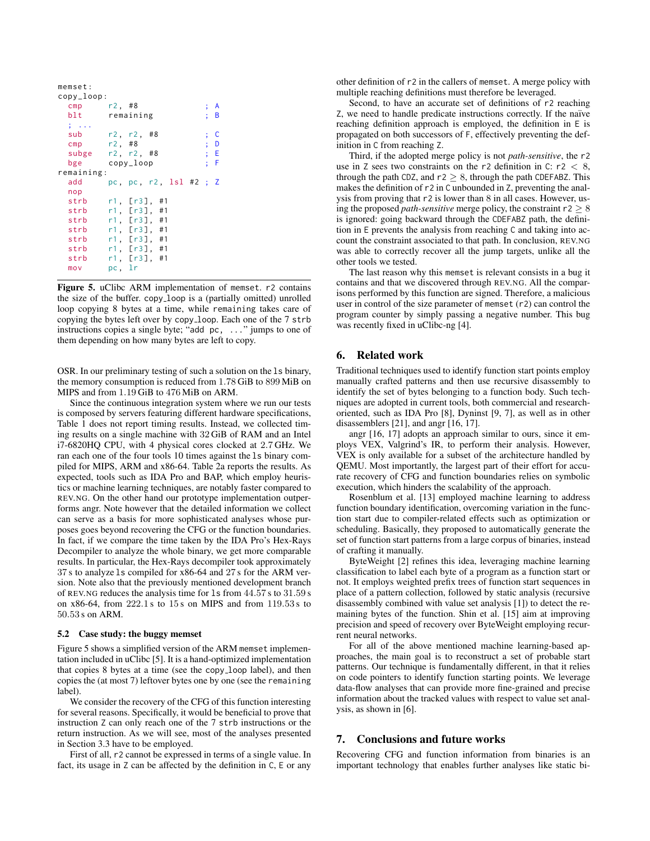```
memset :
copy_loop :
  cmp r2, #8 ; A<br>blt remaining ; B
          remaining
  ; \ldotssub r2, r2, #8 ; C<br>
cmp r2, #8 ; D
  cmp r2, #8 ; D<br>subge r2, r2, #8 ; E
  subge r2, r2, #8 ; E<br>bge copy_loop ; F
  bge copy_loop
remaining :
  add pc, pc, r2, 1sl #2 ; Z
  nop
  strb r1, [r3], #1
  strb r1, [r3], #1
  strb r1, [r3], #1
  strb r1, [r3], #1
  strb r1, [r3], #1
  strb r1, [r3], #1
  strb r1 , [r3] , #1
  mov pc, 1r
```
<span id="page-9-3"></span>Figure 5. uClibc ARM implementation of memset. r2 contains the size of the buffer. copy\_loop is a (partially omitted) unrolled loop copying 8 bytes at a time, while remaining takes care of copying the bytes left over by copy loop. Each one of the 7 strb instructions copies a single byte; "add pc, ..." jumps to one of them depending on how many bytes are left to copy.

OSR. In our preliminary testing of such a solution on the ls binary, the memory consumption is reduced from 1.78 GiB to 899 MiB on MIPS and from 1.19 GiB to 476 MiB on ARM.

Since the continuous integration system where we run our tests is composed by servers featuring different hardware specifications, Table [1](#page-8-1) does not report timing results. Instead, we collected timing results on a single machine with 32 GiB of RAM and an Intel i7-6820HQ CPU, with 4 physical cores clocked at 2.7 GHz. We ran each one of the four tools 10 times against the ls binary compiled for MIPS, ARM and x86-64. Table [2a](#page-8-2) reports the results. As expected, tools such as IDA Pro and BAP, which employ heuristics or machine learning techniques, are notably faster compared to REV.NG. On the other hand our prototype implementation outperforms angr. Note however that the detailed information we collect can serve as a basis for more sophisticated analyses whose purposes goes beyond recovering the CFG or the function boundaries. In fact, if we compare the time taken by the IDA Pro's Hex-Rays Decompiler to analyze the whole binary, we get more comparable results. In particular, the Hex-Rays decompiler took approximately 37 s to analyze ls compiled for x86-64 and 27 s for the ARM version. Note also that the previously mentioned development branch of REV.NG reduces the analysis time for ls from 44.57 s to 31.59 s on x86-64, from 222.1 s to 15 s on MIPS and from 119.53 s to 50.53 s on ARM.

#### <span id="page-9-2"></span>5.2 Case study: the buggy memset

Figure [5](#page-9-3) shows a simplified version of the ARM memset implementation included in uClibc [\[5\]](#page-10-15). It is a hand-optimized implementation that copies 8 bytes at a time (see the copy loop label), and then copies the (at most 7) leftover bytes one by one (see the remaining label).

We consider the recovery of the CFG of this function interesting for several reasons. Specifically, it would be beneficial to prove that instruction Z can only reach one of the 7 strb instructions or the return instruction. As we will see, most of the analyses presented in Section [3.3](#page-3-1) have to be employed.

First of all, r2 cannot be expressed in terms of a single value. In fact, its usage in Z can be affected by the definition in C, E or any

other definition of r2 in the callers of memset. A merge policy with multiple reaching definitions must therefore be leveraged.

Second, to have an accurate set of definitions of r2 reaching Z, we need to handle predicate instructions correctly. If the naïve reaching definition approach is employed, the definition in E is propagated on both successors of F, effectively preventing the definition in C from reaching Z.

Third, if the adopted merge policy is not *path-sensitive*, the r2 use in Z sees two constraints on the r2 definition in C:  $r2 < 8$ , through the path CDZ, and  $r2 \geq 8$ , through the path CDEFABZ. This makes the definition of r2 in C unbounded in Z, preventing the analysis from proving that r2 is lower than 8 in all cases. However, using the proposed *path-sensitive* merge policy, the constraint  $r2 \geq 8$ is ignored: going backward through the CDEFABZ path, the definition in E prevents the analysis from reaching C and taking into account the constraint associated to that path. In conclusion, REV.NG was able to correctly recover all the jump targets, unlike all the other tools we tested.

The last reason why this memset is relevant consists in a bug it contains and that we discovered through REV.NG. All the comparisons performed by this function are signed. Therefore, a malicious user in control of the size parameter of memset (r2) can control the program counter by simply passing a negative number. This bug was recently fixed in uClibc-ng [\[4\]](#page-10-16).

## <span id="page-9-0"></span>6. Related work

Traditional techniques used to identify function start points employ manually crafted patterns and then use recursive disassembly to identify the set of bytes belonging to a function body. Such techniques are adopted in current tools, both commercial and researchoriented, such as IDA Pro [\[8\]](#page-10-4), Dyninst [\[9,](#page-10-17) [7\]](#page-10-18), as well as in other disassemblers [\[21\]](#page-10-19), and angr [\[16,](#page-10-11) [17\]](#page-10-10).

angr [\[16,](#page-10-11) [17\]](#page-10-10) adopts an approach similar to ours, since it employs VEX, Valgrind's IR, to perform their analysis. However, VEX is only available for a subset of the architecture handled by QEMU. Most importantly, the largest part of their effort for accurate recovery of CFG and function boundaries relies on symbolic execution, which hinders the scalability of the approach.

Rosenblum et al. [\[13\]](#page-10-20) employed machine learning to address function boundary identification, overcoming variation in the function start due to compiler-related effects such as optimization or scheduling. Basically, they proposed to automatically generate the set of function start patterns from a large corpus of binaries, instead of crafting it manually.

ByteWeight [\[2\]](#page-10-6) refines this idea, leveraging machine learning classification to label each byte of a program as a function start or not. It employs weighted prefix trees of function start sequences in place of a pattern collection, followed by static analysis (recursive disassembly combined with value set analysis [\[1\]](#page-10-21)) to detect the remaining bytes of the function. Shin et al. [\[15\]](#page-10-22) aim at improving precision and speed of recovery over ByteWeight employing recurrent neural networks.

For all of the above mentioned machine learning-based approaches, the main goal is to reconstruct a set of probable start patterns. Our technique is fundamentally different, in that it relies on code pointers to identify function starting points. We leverage data-flow analyses that can provide more fine-grained and precise information about the tracked values with respect to value set analysis, as shown in [\[6\]](#page-10-13).

### <span id="page-9-1"></span>7. Conclusions and future works

Recovering CFG and function information from binaries is an important technology that enables further analyses like static bi